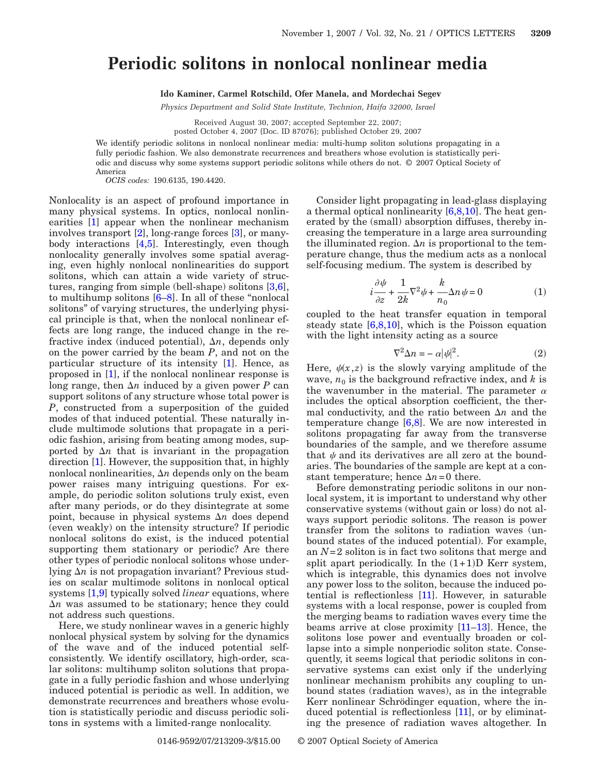## **Periodic solitons in nonlocal nonlinear media**

**Ido Kaminer, Carmel Rotschild, Ofer Manela, and Mordechai Segev**

*Physics Department and Solid State Institute, Technion, Haifa 32000, Israel*

Received August 30, 2007; accepted September 22, 2007; posted October 4, 2007 (Doc. ID 87076); published October 29, 2007

We identify periodic solitons in nonlocal nonlinear media: multi-hump soliton solutions propagating in a fully periodic fashion. We also demonstrate recurrences and breathers whose evolution is statistically periodic and discuss why some systems support periodic solitons while others do not. © 2007 Optical Society of America

*OCIS codes:* 190.6135, 190.4420.

Nonlocality is an aspect of profound importance in many physical systems. In optics, nonlocal nonlinearities [\[1\]](#page-2-0) appear when the nonlinear mechanism involves transport [\[2\]](#page-2-1), long-range forces [\[3\]](#page-2-2), or manybody interactions [\[4](#page-2-3)[,5\]](#page-2-4). Interestingly, even though nonlocality generally involves some spatial averaging, even highly nonlocal nonlinearities do support solitons, which can attain a wide variety of structures, ranging from simple (bell-shape) solitons [\[3](#page-2-2)[,6\]](#page-2-5), to multihump solitons [\[6](#page-2-5)[–8\]](#page-2-6). In all of these "nonlocal solitons" of varying structures, the underlying physical principle is that, when the nonlocal nonlinear effects are long range, the induced change in the refractive index (induced potential),  $\Delta n$ , depends only on the power carried by the beam *P*, and not on the particular structure of its intensity [\[1\]](#page-2-0). Hence, as proposed in [\[1\]](#page-2-0), if the nonlocal nonlinear response is long range, then  $\Delta n$  induced by a given power P can support solitons of any structure whose total power is *P*, constructed from a superposition of the guided modes of that induced potential. These naturally include multimode solutions that propagate in a periodic fashion, arising from beating among modes, supported by  $\Delta n$  that is invariant in the propagation direction [\[1\]](#page-2-0). However, the supposition that, in highly nonlocal nonlinearities,  $\Delta n$  depends only on the beam power raises many intriguing questions. For example, do periodic soliton solutions truly exist, even after many periods, or do they disintegrate at some point, because in physical systems  $\Delta n$  does depend (even weakly) on the intensity structure? If periodic nonlocal solitons do exist, is the induced potential supporting them stationary or periodic? Are there other types of periodic nonlocal solitons whose underlying  $\Delta n$  is not propagation invariant? Previous studies on scalar multimode solitons in nonlocal optical systems [\[1,](#page-2-0)[9\]](#page-2-7) typically solved *linear* equations, where  $\Delta n$  was assumed to be stationary; hence they could not address such questions.

Here, we study nonlinear waves in a generic highly nonlocal physical system by solving for the dynamics of the wave and of the induced potential selfconsistently. We identify oscillatory, high-order, scalar solitons: multihump soliton solutions that propagate in a fully periodic fashion and whose underlying induced potential is periodic as well. In addition, we demonstrate recurrences and breathers whose evolution is statistically periodic and discuss periodic solitons in systems with a limited-range nonlocality.

Consider light propagating in lead-glass displaying a thermal optical nonlinearity [\[6,](#page-2-5)[8](#page-2-6)[,10\]](#page-2-8). The heat generated by the (small) absorption diffuses, thereby increasing the temperature in a large area surrounding the illuminated region.  $\Delta n$  is proportional to the temperature change, thus the medium acts as a nonlocal self-focusing medium. The system is described by

$$
i\frac{\partial\psi}{\partial z} + \frac{1}{2k}\nabla^2\psi + \frac{k}{n_0}\Delta n\psi = 0\tag{1}
$$

<span id="page-0-1"></span>coupled to the heat transfer equation in temporal steady state  $[6,8,10]$  $[6,8,10]$  $[6,8,10]$ , which is the Poisson equation with the light intensity acting as a source

$$
\nabla^2 \Delta n = -\alpha |\psi|^2. \tag{2}
$$

<span id="page-0-0"></span>Here,  $\psi(x, z)$  is the slowly varying amplitude of the wave,  $n_0$  is the background refractive index, and  $k$  is the wavenumber in the material. The parameter  $\alpha$ includes the optical absorption coefficient, the thermal conductivity, and the ratio between  $\Delta n$  and the temperature change [\[6](#page-2-5)[,8\]](#page-2-6). We are now interested in solitons propagating far away from the transverse boundaries of the sample, and we therefore assume that  $\psi$  and its derivatives are all zero at the boundaries. The boundaries of the sample are kept at a constant temperature; hence  $\Delta n=0$  there.

Before demonstrating periodic solitons in our nonlocal system, it is important to understand why other conservative systems (without gain or loss) do not always support periodic solitons. The reason is power transfer from the solitons to radiation waves (unbound states of the induced potential). For example, an *N*=2 soliton is in fact two solitons that merge and split apart periodically. In the  $(1+1)D$  Kerr system, which is integrable, this dynamics does not involve any power loss to the soliton, because the induced potential is reflectionless [\[11\]](#page-2-9). However, in saturable systems with a local response, power is coupled from the merging beams to radiation waves every time the beams arrive at close proximity [\[11–](#page-2-9)[13\]](#page-2-10). Hence, the solitons lose power and eventually broaden or collapse into a simple nonperiodic soliton state. Consequently, it seems logical that periodic solitons in conservative systems can exist only if the underlying nonlinear mechanism prohibits any coupling to unbound states (radiation waves), as in the integrable Kerr nonlinear Schrödinger equation, where the induced potential is reflectionless [\[11\]](#page-2-9), or by eliminating the presence of radiation waves altogether. In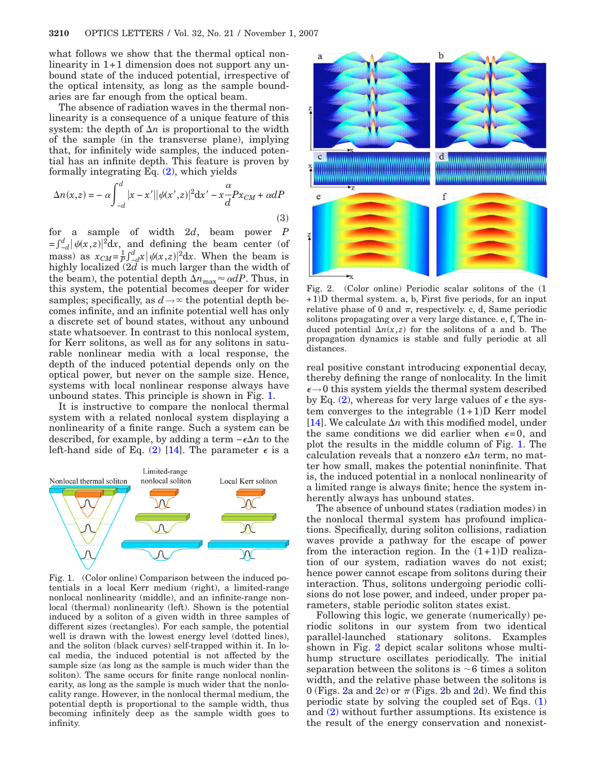what follows we show that the thermal optical nonlinearity in 1+1 dimension does not support any unbound state of the induced potential, irrespective of the optical intensity, as long as the sample boundaries are far enough from the optical beam.

The absence of radiation waves in the thermal nonlinearity is a consequence of a unique feature of this system: the depth of  $\Delta n$  is proportional to the width of the sample (in the transverse plane), implying that, for infinitely wide samples, the induced potential has an infinite depth. This feature is proven by formally integrating Eq. [\(2\),](#page-0-0) which yields

$$
\Delta n(x,z) = -\alpha \int_{-d}^{d} |x - x'| |\psi(x',z)|^2 dx' - x \frac{\alpha}{d} P x_{CM} + \alpha dP
$$
\n(3)

for a sample of width 2*d*, beam power *P*  $=f_{-d}^{d}|\psi(x,z)|^{2}dx$ , and defining the beam center (of mass) as  $x_{CM} = \frac{1}{P} \int_{-d}^{d} x |\psi(x, z)|^2 dx$ . When the beam is highly localized (2*d* is much larger than the width of the beam), the potential depth  $\Delta n_{\text{max}} \approx \alpha dP$ . Thus, in this system, the potential becomes deeper for wider samples; specifically, as  $d \rightarrow \infty$  the potential depth becomes infinite, and an infinite potential well has only a discrete set of bound states, without any unbound state whatsoever. In contrast to this nonlocal system, for Kerr solitons, as well as for any solitons in saturable nonlinear media with a local response, the depth of the induced potential depends only on the optical power, but never on the sample size. Hence, systems with local nonlinear response always have unbound states. This principle is shown in Fig. [1.](#page-1-0)

It is instructive to compare the nonlocal thermal system with a related nonlocal system displaying a nonlinearity of a finite range. Such a system can be described, for example, by adding a term  $-\epsilon \Delta n$  to the left-hand side of Eq. [\(2\)](#page-0-0) [\[14\]](#page-2-11). The parameter  $\epsilon$  is a

<span id="page-1-0"></span>

Fig. 1. (Color online) Comparison between the induced potentials in a local Kerr medium (right), a limited-range nonlocal nonlinearity (middle), and an infinite-range nonlocal (thermal) nonlinearity (left). Shown is the potential induced by a soliton of a given width in three samples of different sizes (rectangles). For each sample, the potential well is drawn with the lowest energy level (dotted lines), and the soliton (black curves) self-trapped within it. In local media, the induced potential is not affected by the sample size (as long as the sample is much wider than the soliton). The same occurs for finite range nonlocal nonlinearity, as long as the sample is much wider that the nonlocality range. However, in the nonlocal thermal medium, the potential depth is proportional to the sample width, thus becoming infinitely deep as the sample width goes to infinity.

<span id="page-1-1"></span>

Fig. 2. (Color online) Periodic scalar solitons of the  $(1)$ +1)D thermal system. a, b, First five periods, for an input relative phase of 0 and  $\pi$ , respectively. c, d, Same periodic solitons propagating over a very large distance. e, f, The induced potential  $\Delta n(x,z)$  for the solitons of a and b. The propagation dynamics is stable and fully periodic at all distances.

real positive constant introducing exponential decay, thereby defining the range of nonlocality. In the limit  $\epsilon \rightarrow 0$  this system yields the thermal system described by Eq. [\(2\),](#page-0-0) whereas for very large values of  $\epsilon$  the system converges to the integrable  $(1+1)D$  Kerr model [\[14\]](#page-2-11). We calculate  $\Delta n$  with this modified model, under the same conditions we did earlier when  $\epsilon = 0$ , and plot the results in the middle column of Fig. [1.](#page-1-0) The calculation reveals that a nonzero  $\epsilon \Delta n$  term, no matter how small, makes the potential noninfinite. That is, the induced potential in a nonlocal nonlinearity of a limited range is always finite; hence the system inherently always has unbound states.

The absence of unbound states (radiation modes) in the nonlocal thermal system has profound implications. Specifically, during soliton collisions, radiation waves provide a pathway for the escape of power from the interaction region. In the  $(1+1)D$  realization of our system, radiation waves do not exist; hence power cannot escape from solitons during their interaction. Thus, solitons undergoing periodic collisions do not lose power, and indeed, under proper parameters, stable periodic soliton states exist.

Following this logic, we generate (numerically) periodic solitons in our system from two identical parallel-launched stationary solitons. Examples shown in Fig. [2](#page-1-1) depict scalar solitons whose multihump structure oscillates periodically. The initial separation between the solitons is  $\sim$  6 times a soliton width, and the relative phase between the solitons is 0 (Figs. [2a](#page-1-1) and [2c](#page-1-1)) or  $\pi$  (Figs. [2b](#page-1-1) and [2d](#page-1-1)). We find this periodic state by solving the coupled set of Eqs.  $(1)$ and [\(2\)](#page-0-0) without further assumptions. Its existence is the result of the energy conservation and nonexist-